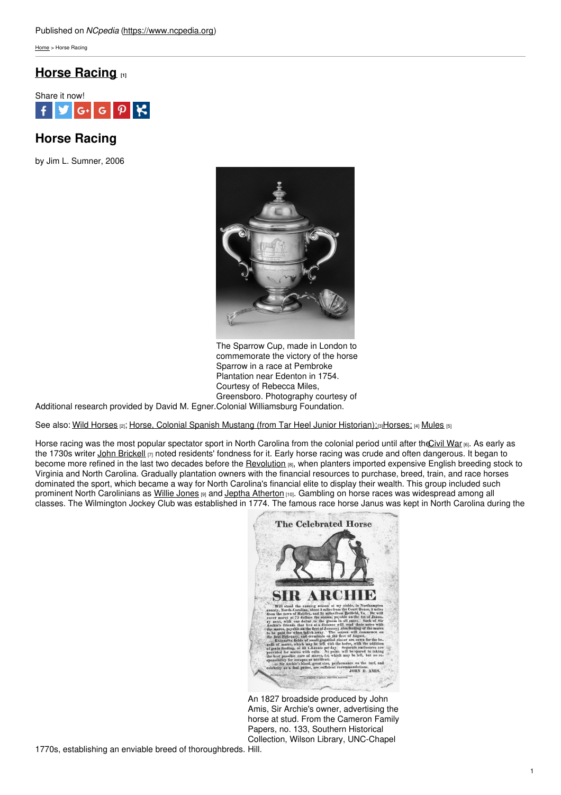[Home](https://www.ncpedia.org/) > Horse Racing

# **Horse [Racing](https://www.ncpedia.org/horse-racing) [1]**



# **Horse Racing**

by Jim L. Sumner, 2006



The Sparrow Cup, made in London to commemorate the victory of the horse Sparrow in a race at Pembroke Plantation near Edenton in 1754. Courtesy of Rebecca Miles, Greensboro. Photography courtesy of

Additional research provided by David M. Egner. Colonial Williamsburg Foundation.

See also: Wild [Horses](https://www.ncpedia.org/wild-horses) [2]; Horse, Colonial Spanish Mustang (from Tar Heel Junior [Historian\);](https://www.ncpedia.org/symbols/horse) [3] [Horses;](https://www.ncpedia.org/horses) [4] [Mules](https://www.ncpedia.org/mules) [5]

Horse racing was the most popular spectator sport in North Carolina from the colonial period until after the Civil War [6]. As early as the 1730s writer John [Brickell](https://www.ncpedia.org/biography/brickell-john) [7] noted residents' fondness for it. Early horse racing was crude and often dangerous. It began to become more refined in the last two decades before the [Revolution](https://www.ncpedia.org/american-revolution) [8], when planters imported expensive English breeding stock to Virginia and North Carolina. Gradually plantation owners with the financial resources to purchase, breed, train, and race horses dominated the sport, which became a way for North Carolina's financial elite to display their wealth. This group included such prominent North Carolinians as Willie [Jones](https://www.ncpedia.org/biography/jones-willie) [9] and Jeptha [Atherton](https://docsouth.unc.edu/csr/index.html/document/csr16-0353) [10]. Gambling on horse races was widespread among all classes. The Wilmington Jockey Club was established in 1774. The famous race horse Janus was kept in North Carolina during the



An 1827 broadside produced by John Amis, Sir Archie's owner, advertising the horse at stud. From the Cameron Family Papers, no. 133, Southern Historical Collection, Wilson Library, UNC-Chapel

1770s, establishing an enviable breed of thoroughbreds. Hill.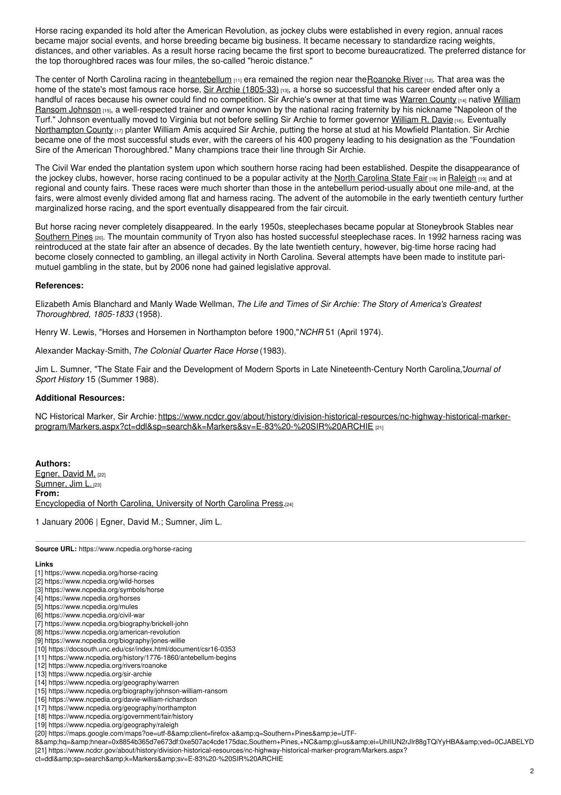Horse racing expanded its hold after the American Revolution, as jockey clubs were established in every region, annual races became major social events, and horse breeding became big business. It became necessary to standardize racing weights, distances, and other variables. As a result horse racing became the first sport to become bureaucratized. The preferred distance for the top thoroughbred races was four miles, the so-called "heroic distance."

The center of North Carolina racing in the[antebellum](https://www.ncpedia.org/history/1776-1860/antebellum-begins)  $(11)$  era remained the region near the [Roanoke](https://www.ncpedia.org/rivers/roanoke) River  $(12)$ . That area was the home of the state's most famous race horse, Sir Archie [\(1805-33\)](https://www.ncpedia.org/sir-archie) [13], a horse so successful that his career ended after only a handful of races because his owner could find no competition. Sir Archie's owner at that time was [Warren](https://www.ncpedia.org/geography/warren) County [14] native William Ransom Johnson [15], a [well-respected](https://www.ncpedia.org/biography/johnson-william-ransom) trainer and owner known by the national racing fraternity by his nickname "Napoleon of the Turf." Johnson eventually moved to Virginia but not before selling Sir Archie to former governor [William](https://www.ncpedia.org/davie-william-richardson) R. Davie [16]. Eventually [Northampton](https://www.ncpedia.org/geography/northampton) County [17] planter William Amis acquired Sir Archie, putting the horse at stud at his Mowfield Plantation. Sir Archie became one of the most successful studs ever, with the careers of his 400 progeny leading to his designation as the "Foundation Sire of the American Thoroughbred." Many champions trace their line through Sir Archie.

The Civil War ended the plantation system upon which southern horse racing had been established. Despite the disappearance of the jockey clubs, however, horse racing continued to be a popular activity at the North [Carolina](https://www.ncpedia.org/government/fair/history) State Fair [18] in [Raleigh](https://www.ncpedia.org/geography/raleigh) [19] and at regional and county fairs. These races were much shorter than those in the antebellum period-usually about one mile-and, at the fairs, were almost evenly divided among flat and harness racing. The advent of the automobile in the early twentieth century further marginalized horse racing, and the sport eventually disappeared from the fair circuit.

But horse racing never completely disappeared. In the early 1950s, steeplechases became popular at Stoneybrook Stables near [Southern](https://maps.google.com/maps?oe=utf-8&client=firefox-a&q=Southern+Pines&ie=UTF-8&hq=&hnear=0x8854b365d7e673df:0xe507ac4cde175dac,Southern+Pines,+NC&gl=us&ei=UhIIUN2rJIr88gTQiYyHBA&ved=0CJABELYD) Pines [20]. The mountain community of Tryon also has hosted successful steeplechase races. In 1992 harness racing was reintroduced at the state fair after an absence of decades. By the late twentieth century, however, big-time horse racing had become closely connected to gambling, an illegal activity in North Carolina. Several attempts have been made to institute parimutuel gambling in the state, but by 2006 none had gained legislative approval.

#### **References:**

Elizabeth Amis Blanchard and Manly Wade Wellman, *The Life and Times of Sir Archie: The Story of America's Greatest Thoroughbred, 1805-1833* (1958).

Henry W. Lewis, "Horses and Horsemen in Northampton before 1900,"*NCHR* 51 (April 1974).

Alexander Mackay-Smith, *The Colonial Quarter Race Horse* (1983).

Jim L. Sumner, "The State Fair and the Development of Modern Sports in Late Nineteenth-Century North Carolina,"*Journal of Sport History* 15 (Summer 1988).

### **Additional Resources:**

NC Historical Marker, Sir Archie: [https://www.ncdcr.gov/about/history/division-historical-resources/nc-highway-historical-marker](https://www.ncdcr.gov/about/history/division-historical-resources/nc-highway-historical-marker-program/Markers.aspx?ct=ddl&sp=search&k=Markers&sv=E-83 - SIR ARCHIE)program/Markers.aspx?ct=ddl&sp=search&k=Markers&sv=E-83%20-%20SIR%20ARCHIE [21]

**Authors:** [Egner,](https://www.ncpedia.org/category/authors/egner-david-m) David M. [22] [Sumner,](https://www.ncpedia.org/category/authors/sumner-jim-l) Jim L. [23] **From:** [Encyclopedia](https://www.ncpedia.org/category/entry-source/encyclopedia-) of North Carolina, University of North Carolina Press.[24]

1 January 2006 | Egner, David M.; Sumner, Jim L.

**Source URL:** https://www.ncpedia.org/horse-racing

### **Links**

- [1] https://www.ncpedia.org/horse-racing
- [2] https://www.ncpedia.org/wild-horses
- [3] https://www.ncpedia.org/symbols/horse
- [4] https://www.ncpedia.org/horses
- [5] https://www.ncpedia.org/mules [6] https://www.ncpedia.org/civil-war
- [7] https://www.ncpedia.org/biography/brickell-john
- [8] https://www.ncpedia.org/american-revolution
- [9] https://www.ncpedia.org/biography/jones-willie
- [10] https://docsouth.unc.edu/csr/index.html/document/csr16-0353
- [11] https://www.ncpedia.org/history/1776-1860/antebellum-begins
- [12] https://www.ncpedia.org/rivers/roanoke
- [13] https://www.ncpedia.org/sir-archie
- [14] https://www.ncpedia.org/geography/warren
- [15] https://www.ncpedia.org/biography/johnson-william-ransom
- [16] https://www.ncpedia.org/davie-william-richardson
- [17] https://www.ncpedia.org/geography/northampton
- [18] https://www.ncpedia.org/government/fair/history
- [19] https://www.ncpedia.org/geography/raleigh

8&hq=&hnear=0x8854b365d7e673df:0xe507ac4cde175dac,Southern+Pines,+NC&gl=us&el=UhIIUN2rJIr88gTQiYyHBA&ved=0CJABELYD [21] https://www.ncdcr.gov/about/history/division-historical-resources/nc-highway-historical-marker-program/Markers.aspx?

ct=ddl&amp:sp=search&amp:k=Markers&amp:sv=E-83%20-%20SIR%20ARCHIE

<sup>[20]</sup> https://maps.google.com/maps?oe=utf-8&client=firefox-a&q=Southern+Pines&ie=UTF-